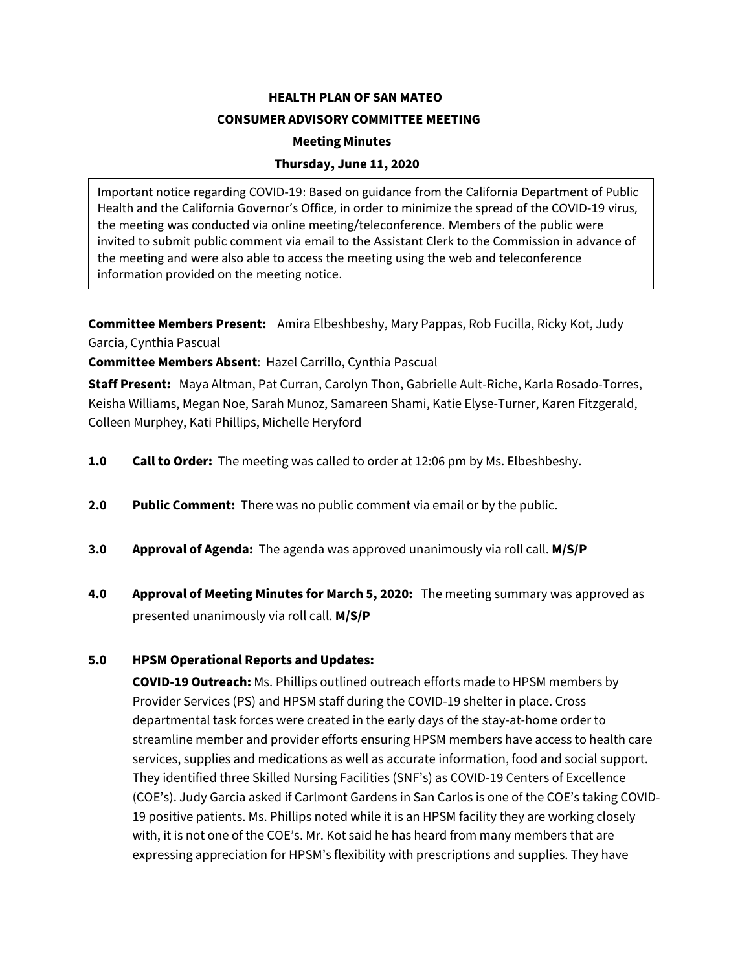**HEALTH PLAN OF SAN MATEO CONSUMER ADVISORY COMMITTEE MEETING Meeting Minutes Thursday, June 11, 2020**

Important notice regarding COVID-19: Based on guidance from the California Department of Public Health and the California Governor's Office, in order to minimize the spread of the COVID-19 virus, the meeting was conducted via online meeting/teleconference. Members of the public were invited to submit public comment via email to the Assistant Clerk to the Commission in advance of the meeting and were also able to access the meeting using the web and teleconference information provided on the meeting notice.

**Committee Members Present:** Amira Elbeshbeshy, Mary Pappas, Rob Fucilla, Ricky Kot, Judy Garcia, Cynthia Pascual

**Committee Members Absent**: Hazel Carrillo, Cynthia Pascual

**Staff Present:** Maya Altman, Pat Curran, Carolyn Thon, Gabrielle Ault-Riche, Karla Rosado-Torres, Keisha Williams, Megan Noe, Sarah Munoz, Samareen Shami, Katie Elyse-Turner, Karen Fitzgerald, Colleen Murphey, Kati Phillips, Michelle Heryford

- **1.0 Call to Order:** The meeting was called to order at 12:06 pm by Ms. Elbeshbeshy.
- **2.0 Public Comment:** There was no public comment via email or by the public.
- **3.0 Approval of Agenda:** The agenda was approved unanimously via roll call. **M/S/P**
- **4.0 Approval of Meeting Minutes for March 5, 2020:** The meeting summary was approved as presented unanimously via roll call. **M/S/P**

## **5.0 HPSM Operational Reports and Updates:**

**COVID-19 Outreach:** Ms. Phillips outlined outreach efforts made to HPSM members by Provider Services (PS) and HPSM staff during the COVID-19 shelter in place. Cross departmental task forces were created in the early days of the stay-at-home order to streamline member and provider efforts ensuring HPSM members have access to health care services, supplies and medications as well as accurate information, food and social support. They identified three Skilled Nursing Facilities (SNF's) as COVID-19 Centers of Excellence (COE's). Judy Garcia asked if Carlmont Gardens in San Carlos is one of the COE's taking COVID-19 positive patients. Ms. Phillips noted while it is an HPSM facility they are working closely with, it is not one of the COE's. Mr. Kot said he has heard from many members that are expressing appreciation for HPSM's flexibility with prescriptions and supplies. They have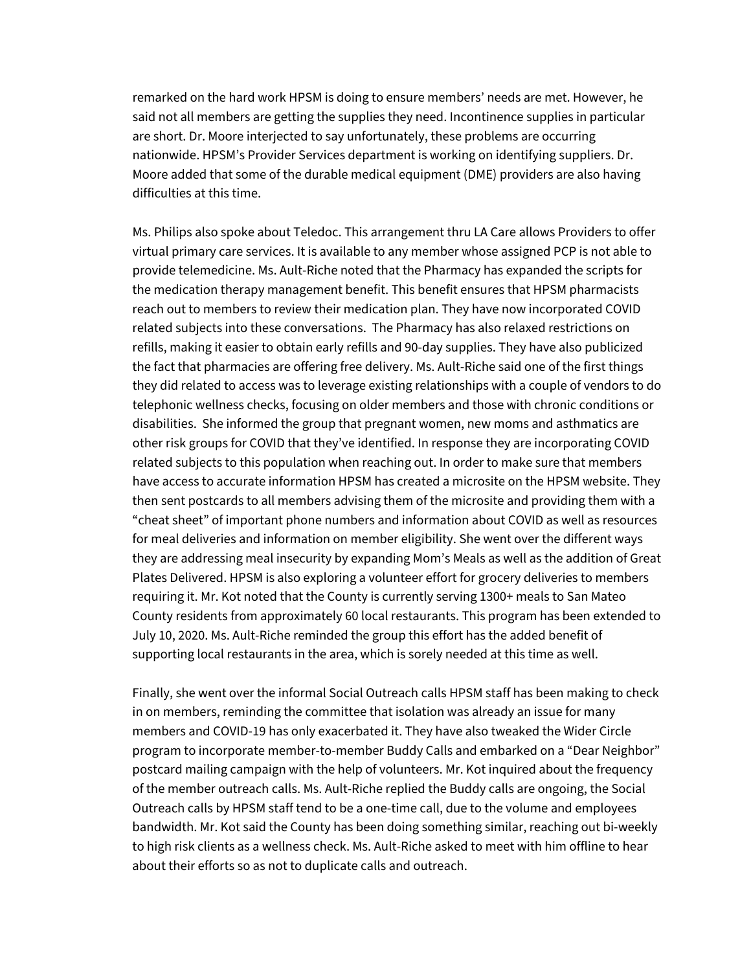remarked on the hard work HPSM is doing to ensure members' needs are met. However, he said not all members are getting the supplies they need. Incontinence supplies in particular are short. Dr. Moore interjected to say unfortunately, these problems are occurring nationwide. HPSM's Provider Services department is working on identifying suppliers. Dr. Moore added that some of the durable medical equipment (DME) providers are also having difficulties at this time.

Ms. Philips also spoke about Teledoc. This arrangement thru LA Care allows Providers to offer virtual primary care services. It is available to any member whose assigned PCP is not able to provide telemedicine. Ms. Ault-Riche noted that the Pharmacy has expanded the scripts for the medication therapy management benefit. This benefit ensures that HPSM pharmacists reach out to members to review their medication plan. They have now incorporated COVID related subjects into these conversations. The Pharmacy has also relaxed restrictions on refills, making it easier to obtain early refills and 90-day supplies. They have also publicized the fact that pharmacies are offering free delivery. Ms. Ault-Riche said one of the first things they did related to access was to leverage existing relationships with a couple of vendors to do telephonic wellness checks, focusing on older members and those with chronic conditions or disabilities. She informed the group that pregnant women, new moms and asthmatics are other risk groups for COVID that they've identified. In response they are incorporating COVID related subjects to this population when reaching out. In order to make sure that members have access to accurate information HPSM has created a microsite on the HPSM website. They then sent postcards to all members advising them of the microsite and providing them with a "cheat sheet" of important phone numbers and information about COVID as well as resources for meal deliveries and information on member eligibility. She went over the different ways they are addressing meal insecurity by expanding Mom's Meals as well as the addition of Great Plates Delivered. HPSM is also exploring a volunteer effort for grocery deliveries to members requiring it. Mr. Kot noted that the County is currently serving 1300+ meals to San Mateo County residents from approximately 60 local restaurants. This program has been extended to July 10, 2020. Ms. Ault-Riche reminded the group this effort has the added benefit of supporting local restaurants in the area, which is sorely needed at this time as well.

Finally, she went over the informal Social Outreach calls HPSM staff has been making to check in on members, reminding the committee that isolation was already an issue for many members and COVID-19 has only exacerbated it. They have also tweaked the Wider Circle program to incorporate member-to-member Buddy Calls and embarked on a "Dear Neighbor" postcard mailing campaign with the help of volunteers. Mr. Kot inquired about the frequency of the member outreach calls. Ms. Ault-Riche replied the Buddy calls are ongoing, the Social Outreach calls by HPSM staff tend to be a one-time call, due to the volume and employees bandwidth. Mr. Kot said the County has been doing something similar, reaching out bi-weekly to high risk clients as a wellness check. Ms. Ault-Riche asked to meet with him offline to hear about their efforts so as not to duplicate calls and outreach.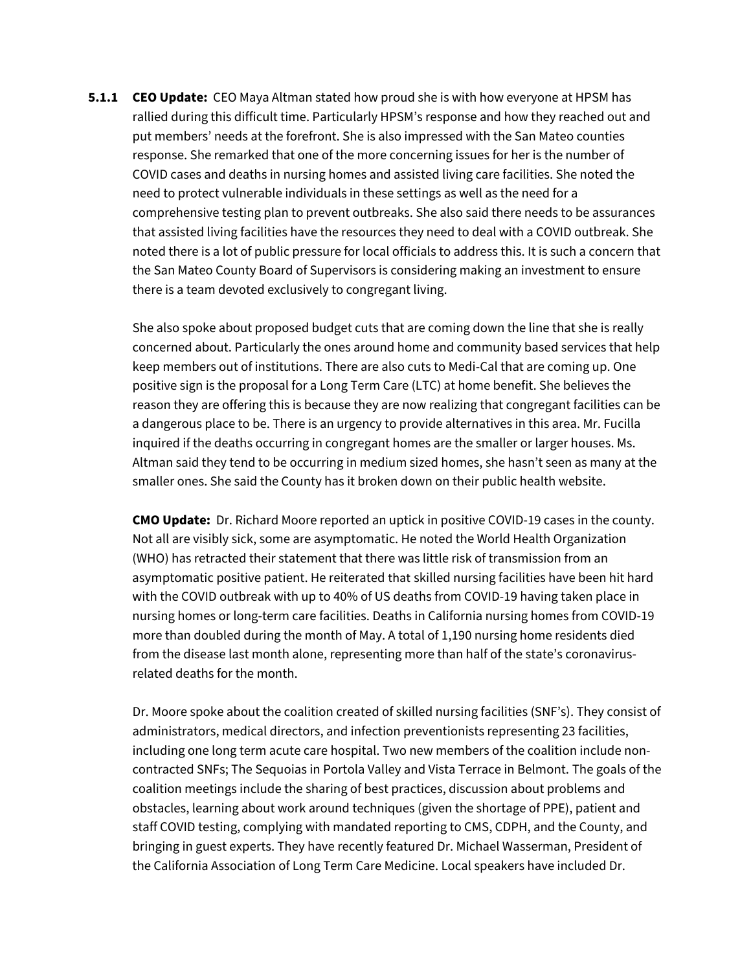**5.1.1 CEO Update:** CEO Maya Altman stated how proud she is with how everyone at HPSM has rallied during this difficult time. Particularly HPSM's response and how they reached out and put members' needs at the forefront. She is also impressed with the San Mateo counties response. She remarked that one of the more concerning issues for her is the number of COVID cases and deaths in nursing homes and assisted living care facilities. She noted the need to protect vulnerable individuals in these settings as well as the need for a comprehensive testing plan to prevent outbreaks. She also said there needs to be assurances that assisted living facilities have the resources they need to deal with a COVID outbreak. She noted there is a lot of public pressure for local officials to address this. It is such a concern that the San Mateo County Board of Supervisors is considering making an investment to ensure there is a team devoted exclusively to congregant living.

She also spoke about proposed budget cuts that are coming down the line that she is really concerned about. Particularly the ones around home and community based services that help keep members out of institutions. There are also cuts to Medi-Cal that are coming up. One positive sign is the proposal for a Long Term Care (LTC) at home benefit. She believes the reason they are offering this is because they are now realizing that congregant facilities can be a dangerous place to be. There is an urgency to provide alternatives in this area. Mr. Fucilla inquired if the deaths occurring in congregant homes are the smaller or larger houses. Ms. Altman said they tend to be occurring in medium sized homes, she hasn't seen as many at the smaller ones. She said the County has it broken down on their public health website.

**CMO Update:** Dr. Richard Moore reported an uptick in positive COVID-19 cases in the county. Not all are visibly sick, some are asymptomatic. He noted the World Health Organization (WHO) has retracted their statement that there was little risk of transmission from an asymptomatic positive patient. He reiterated that skilled nursing facilities have been hit hard with the COVID outbreak with up to 40% of US deaths from COVID-19 having taken place in nursing homes or long-term care facilities. Deaths in California nursing homes from COVID-19 more than doubled during the month of May. A total of 1,190 nursing home residents died from the disease last month alone, representing more than half of the state's coronavirusrelated deaths for the month.

Dr. Moore spoke about the coalition created of skilled nursing facilities (SNF's). They consist of administrators, medical directors, and infection preventionists representing 23 facilities, including one long term acute care hospital. Two new members of the coalition include noncontracted SNFs; The Sequoias in Portola Valley and Vista Terrace in Belmont. The goals of the coalition meetings include the sharing of best practices, discussion about problems and obstacles, learning about work around techniques (given the shortage of PPE), patient and staff COVID testing, complying with mandated reporting to CMS, CDPH, and the County, and bringing in guest experts. They have recently featured Dr. Michael Wasserman, President of the California Association of Long Term Care Medicine. Local speakers have included Dr.